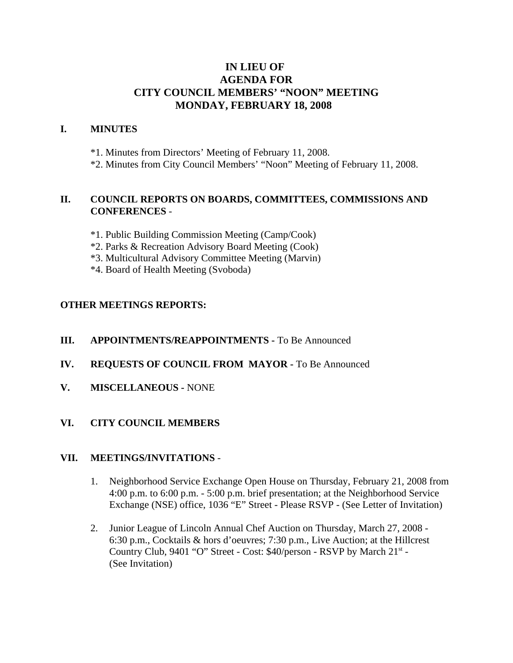# **IN LIEU OF AGENDA FOR CITY COUNCIL MEMBERS' "NOON" MEETING MONDAY, FEBRUARY 18, 2008**

### **I. MINUTES**

\*1. Minutes from Directors' Meeting of February 11, 2008.

\*2. Minutes from City Council Members' "Noon" Meeting of February 11, 2008.

### **II. COUNCIL REPORTS ON BOARDS, COMMITTEES, COMMISSIONS AND CONFERENCES** -

- \*1. Public Building Commission Meeting (Camp/Cook)
- \*2. Parks & Recreation Advisory Board Meeting (Cook)
- \*3. Multicultural Advisory Committee Meeting (Marvin)
- \*4. Board of Health Meeting (Svoboda)

# **OTHER MEETINGS REPORTS:**

#### **III.** APPOINTMENTS/REAPPOINTMENTS - To Be Announced

- **IV. REQUESTS OF COUNCIL FROM MAYOR -** To Be Announced
- **V. MISCELLANEOUS -** NONE

# **VI. CITY COUNCIL MEMBERS**

#### **VII. MEETINGS/INVITATIONS** -

- 1. Neighborhood Service Exchange Open House on Thursday, February 21, 2008 from 4:00 p.m. to 6:00 p.m. - 5:00 p.m. brief presentation; at the Neighborhood Service Exchange (NSE) office, 1036 "E" Street - Please RSVP - (See Letter of Invitation)
- 2. Junior League of Lincoln Annual Chef Auction on Thursday, March 27, 2008 6:30 p.m., Cocktails & hors d'oeuvres; 7:30 p.m., Live Auction; at the Hillcrest Country Club, 9401 "O" Street - Cost: \$40/person - RSVP by March 21<sup>st</sup> -(See Invitation)